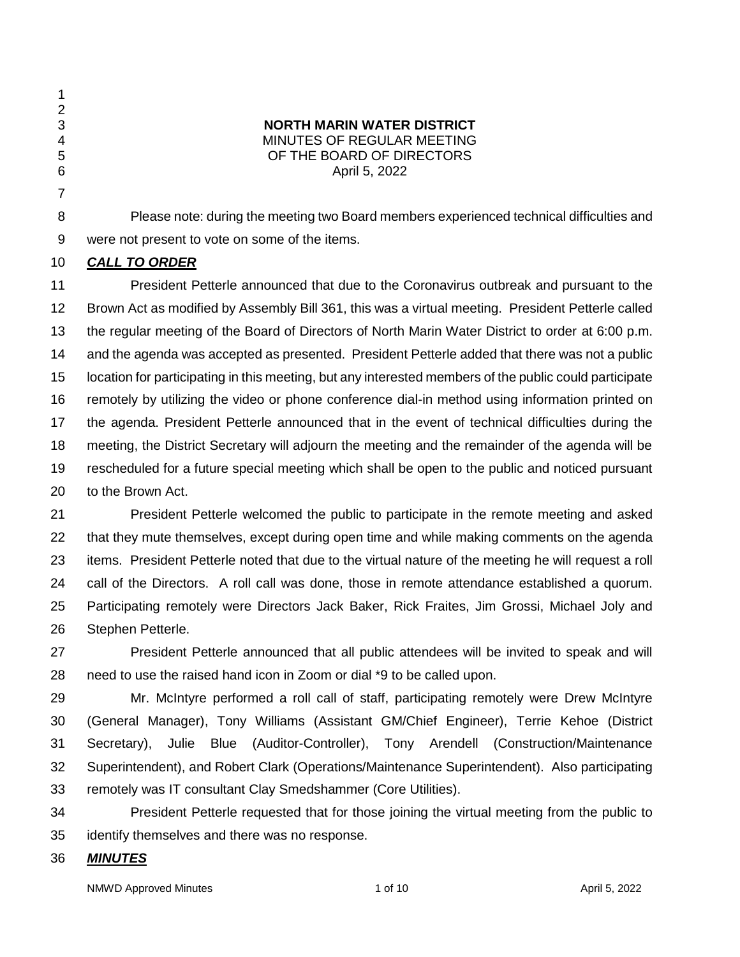- 
- **NORTH MARIN WATER DISTRICT** MINUTES OF REGULAR MEETING OF THE BOARD OF DIRECTORS April 5, 2022
- 

 Please note: during the meeting two Board members experienced technical difficulties and were not present to vote on some of the items.

# *CALL TO ORDER*

 President Petterle announced that due to the Coronavirus outbreak and pursuant to the Brown Act as modified by Assembly Bill 361, this was a virtual meeting. President Petterle called the regular meeting of the Board of Directors of North Marin Water District to order at 6:00 p.m. and the agenda was accepted as presented. President Petterle added that there was not a public location for participating in this meeting, but any interested members of the public could participate remotely by utilizing the video or phone conference dial-in method using information printed on the agenda. President Petterle announced that in the event of technical difficulties during the meeting, the District Secretary will adjourn the meeting and the remainder of the agenda will be rescheduled for a future special meeting which shall be open to the public and noticed pursuant to the Brown Act.

 President Petterle welcomed the public to participate in the remote meeting and asked 22 that they mute themselves, except during open time and while making comments on the agenda items. President Petterle noted that due to the virtual nature of the meeting he will request a roll call of the Directors. A roll call was done, those in remote attendance established a quorum. Participating remotely were Directors Jack Baker, Rick Fraites, Jim Grossi, Michael Joly and Stephen Petterle.

 President Petterle announced that all public attendees will be invited to speak and will need to use the raised hand icon in Zoom or dial \*9 to be called upon.

 Mr. McIntyre performed a roll call of staff, participating remotely were Drew McIntyre (General Manager), Tony Williams (Assistant GM/Chief Engineer), Terrie Kehoe (District Secretary), Julie Blue (Auditor-Controller), Tony Arendell (Construction/Maintenance Superintendent), and Robert Clark (Operations/Maintenance Superintendent). Also participating remotely was IT consultant Clay Smedshammer (Core Utilities).

 President Petterle requested that for those joining the virtual meeting from the public to identify themselves and there was no response.

# *MINUTES*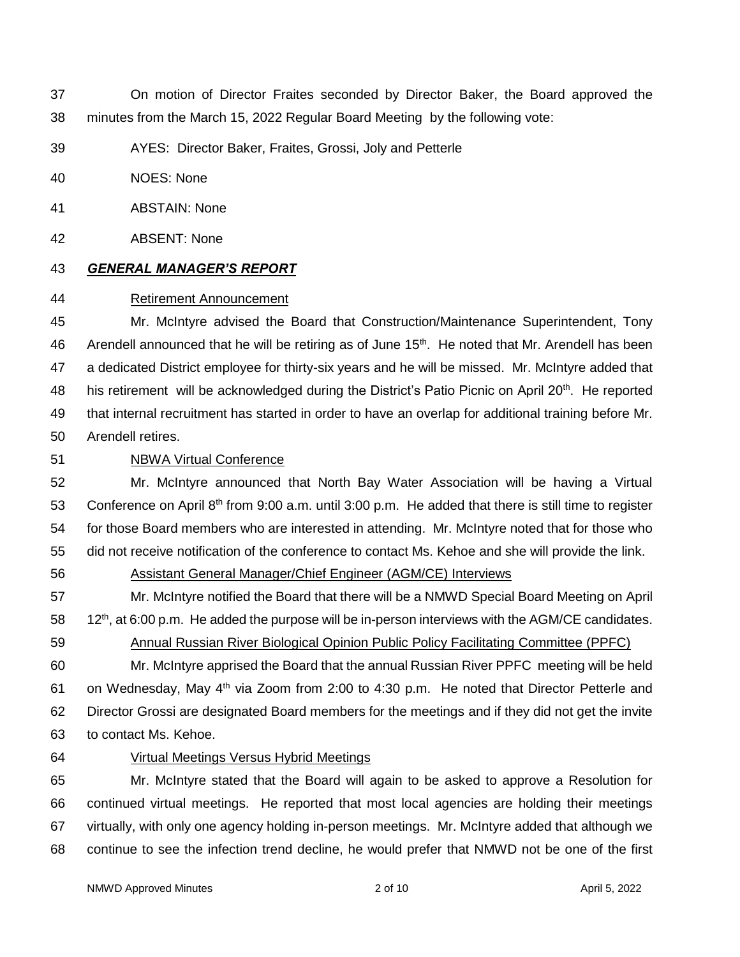- On motion of Director Fraites seconded by Director Baker, the Board approved the minutes from the March 15, 2022 Regular Board Meeting by the following vote:
- AYES: Director Baker, Fraites, Grossi, Joly and Petterle
- NOES: None
- ABSTAIN: None
- ABSENT: None
- *GENERAL MANAGER'S REPORT*

### Retirement Announcement

 Mr. McIntyre advised the Board that Construction/Maintenance Superintendent, Tony 46 Arendell announced that he will be retiring as of June 15<sup>th</sup>. He noted that Mr. Arendell has been a dedicated District employee for thirty-six years and he will be missed. Mr. McIntyre added that 48 his retirement will be acknowledged during the District's Patio Picnic on April 20<sup>th</sup>. He reported that internal recruitment has started in order to have an overlap for additional training before Mr. Arendell retires.

# NBWA Virtual Conference

 Mr. McIntyre announced that North Bay Water Association will be having a Virtual 53 Conference on April 8<sup>th</sup> from 9:00 a.m. until 3:00 p.m. He added that there is still time to register for those Board members who are interested in attending. Mr. McIntyre noted that for those who did not receive notification of the conference to contact Ms. Kehoe and she will provide the link.

# Assistant General Manager/Chief Engineer (AGM/CE) Interviews

 Mr. McIntyre notified the Board that there will be a NMWD Special Board Meeting on April 58  $12<sup>th</sup>$ , at 6:00 p.m. He added the purpose will be in-person interviews with the AGM/CE candidates. Annual Russian River Biological Opinion Public Policy Facilitating Committee (PPFC)

 Mr. McIntyre apprised the Board that the annual Russian River PPFC meeting will be held 61 on Wednesday, May  $4<sup>th</sup>$  via Zoom from 2:00 to 4:30 p.m. He noted that Director Petterle and Director Grossi are designated Board members for the meetings and if they did not get the invite to contact Ms. Kehoe.

Virtual Meetings Versus Hybrid Meetings

 Mr. McIntyre stated that the Board will again to be asked to approve a Resolution for continued virtual meetings. He reported that most local agencies are holding their meetings virtually, with only one agency holding in-person meetings. Mr. McIntyre added that although we continue to see the infection trend decline, he would prefer that NMWD not be one of the first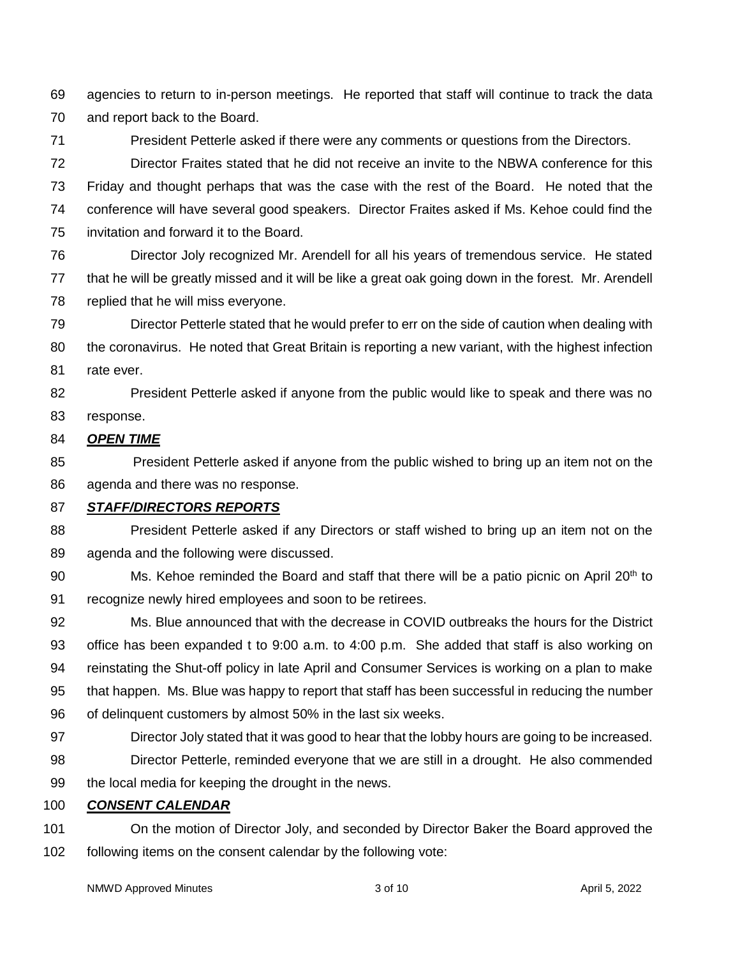agencies to return to in-person meetings. He reported that staff will continue to track the data and report back to the Board.

President Petterle asked if there were any comments or questions from the Directors.

 Director Fraites stated that he did not receive an invite to the NBWA conference for this Friday and thought perhaps that was the case with the rest of the Board. He noted that the conference will have several good speakers. Director Fraites asked if Ms. Kehoe could find the invitation and forward it to the Board.

 Director Joly recognized Mr. Arendell for all his years of tremendous service. He stated that he will be greatly missed and it will be like a great oak going down in the forest. Mr. Arendell replied that he will miss everyone.

 Director Petterle stated that he would prefer to err on the side of caution when dealing with the coronavirus. He noted that Great Britain is reporting a new variant, with the highest infection rate ever.

 President Petterle asked if anyone from the public would like to speak and there was no response.

### *OPEN TIME*

 President Petterle asked if anyone from the public wished to bring up an item not on the agenda and there was no response.

# *STAFF/DIRECTORS REPORTS*

 President Petterle asked if any Directors or staff wished to bring up an item not on the agenda and the following were discussed.

90 Ms. Kehoe reminded the Board and staff that there will be a patio picnic on April 20<sup>th</sup> to recognize newly hired employees and soon to be retirees.

 Ms. Blue announced that with the decrease in COVID outbreaks the hours for the District office has been expanded t to 9:00 a.m. to 4:00 p.m. She added that staff is also working on reinstating the Shut-off policy in late April and Consumer Services is working on a plan to make that happen. Ms. Blue was happy to report that staff has been successful in reducing the number of delinquent customers by almost 50% in the last six weeks.

- Director Joly stated that it was good to hear that the lobby hours are going to be increased. Director Petterle, reminded everyone that we are still in a drought. He also commended
- the local media for keeping the drought in the news.

# *CONSENT CALENDAR*

 On the motion of Director Joly, and seconded by Director Baker the Board approved the following items on the consent calendar by the following vote: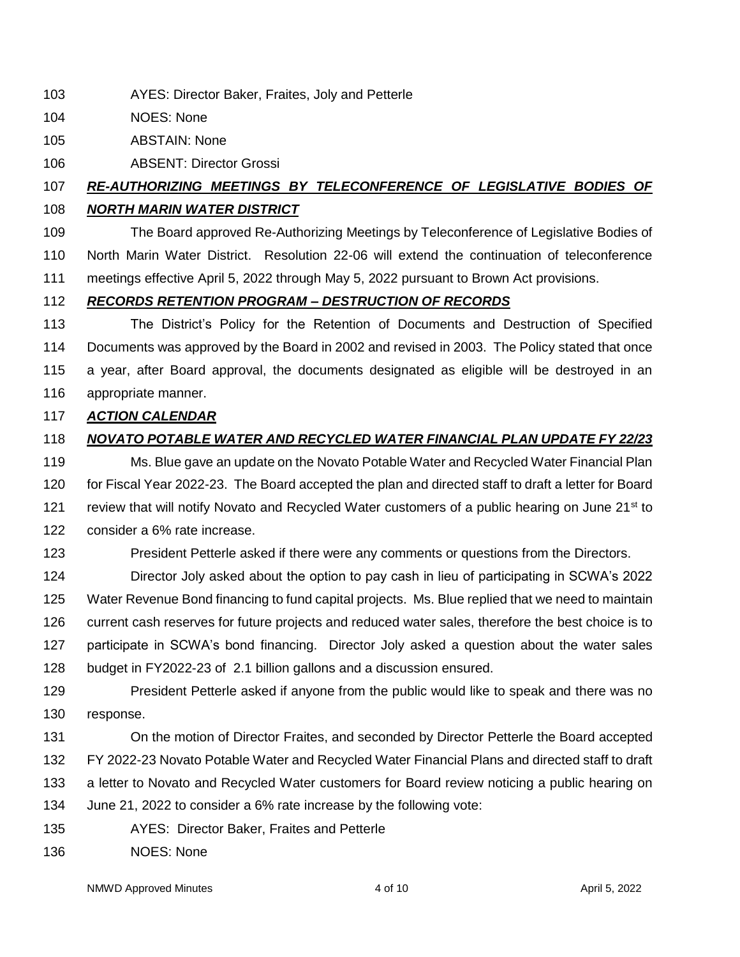- AYES: Director Baker, Fraites, Joly and Petterle
- NOES: None
- ABSTAIN: None
- ABSENT: Director Grossi

# *RE-AUTHORIZING MEETINGS BY TELECONFERENCE OF LEGISLATIVE BODIES OF NORTH MARIN WATER DISTRICT*

 The Board approved Re-Authorizing Meetings by Teleconference of Legislative Bodies of North Marin Water District. Resolution 22-06 will extend the continuation of teleconference meetings effective April 5, 2022 through May 5, 2022 pursuant to Brown Act provisions.

# *RECORDS RETENTION PROGRAM – DESTRUCTION OF RECORDS*

 The District's Policy for the Retention of Documents and Destruction of Specified Documents was approved by the Board in 2002 and revised in 2003. The Policy stated that once a year, after Board approval, the documents designated as eligible will be destroyed in an appropriate manner.

# *ACTION CALENDAR*

# *NOVATO POTABLE WATER AND RECYCLED WATER FINANCIAL PLAN UPDATE FY 22/23*

 Ms. Blue gave an update on the Novato Potable Water and Recycled Water Financial Plan for Fiscal Year 2022-23. The Board accepted the plan and directed staff to draft a letter for Board 121 review that will notify Novato and Recycled Water customers of a public hearing on June  $21<sup>st</sup>$  to consider a 6% rate increase.

President Petterle asked if there were any comments or questions from the Directors.

 Director Joly asked about the option to pay cash in lieu of participating in SCWA's 2022 Water Revenue Bond financing to fund capital projects. Ms. Blue replied that we need to maintain current cash reserves for future projects and reduced water sales, therefore the best choice is to participate in SCWA's bond financing. Director Joly asked a question about the water sales budget in FY2022-23 of 2.1 billion gallons and a discussion ensured.

- President Petterle asked if anyone from the public would like to speak and there was no response.
- On the motion of Director Fraites, and seconded by Director Petterle the Board accepted FY 2022-23 Novato Potable Water and Recycled Water Financial Plans and directed staff to draft a letter to Novato and Recycled Water customers for Board review noticing a public hearing on June 21, 2022 to consider a 6% rate increase by the following vote:
- AYES: Director Baker, Fraites and Petterle
- NOES: None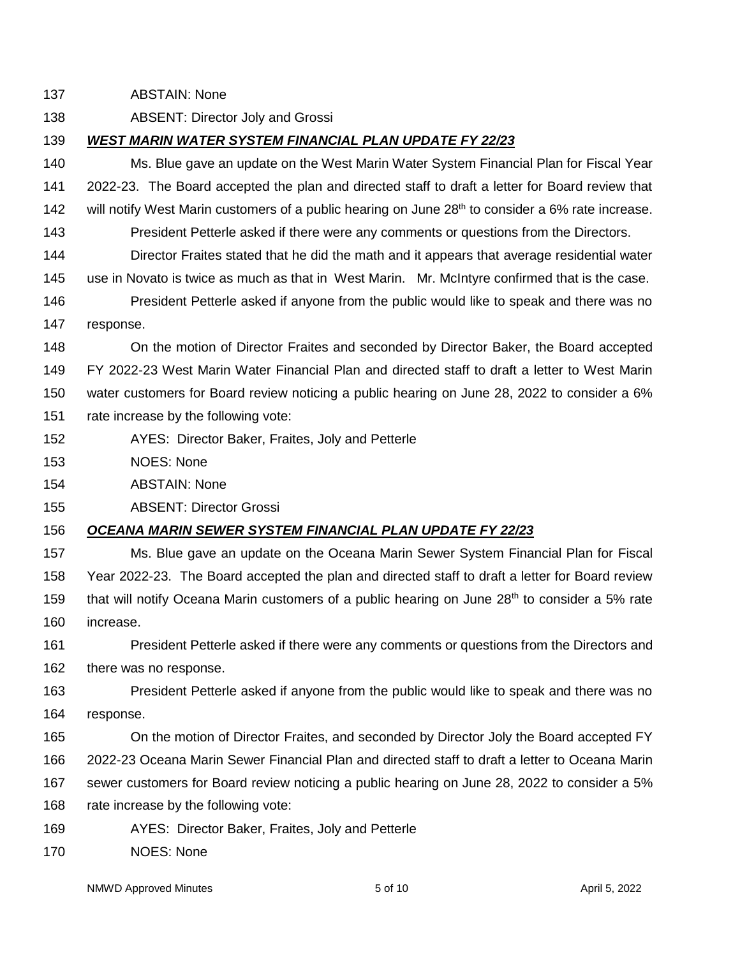ABSTAIN: None

ABSENT: Director Joly and Grossi

# *WEST MARIN WATER SYSTEM FINANCIAL PLAN UPDATE FY 22/23*

 Ms. Blue gave an update on the West Marin Water System Financial Plan for Fiscal Year 2022-23. The Board accepted the plan and directed staff to draft a letter for Board review that 142 will notify West Marin customers of a public hearing on June  $28<sup>th</sup>$  to consider a 6% rate increase.

- President Petterle asked if there were any comments or questions from the Directors.
- Director Fraites stated that he did the math and it appears that average residential water
- use in Novato is twice as much as that in West Marin. Mr. McIntyre confirmed that is the case.

 President Petterle asked if anyone from the public would like to speak and there was no response.

 On the motion of Director Fraites and seconded by Director Baker, the Board accepted FY 2022-23 West Marin Water Financial Plan and directed staff to draft a letter to West Marin water customers for Board review noticing a public hearing on June 28, 2022 to consider a 6% rate increase by the following vote:

- AYES: Director Baker, Fraites, Joly and Petterle
- NOES: None
- ABSTAIN: None
- ABSENT: Director Grossi

# *OCEANA MARIN SEWER SYSTEM FINANCIAL PLAN UPDATE FY 22/23*

 Ms. Blue gave an update on the Oceana Marin Sewer System Financial Plan for Fiscal Year 2022-23. The Board accepted the plan and directed staff to draft a letter for Board review 159 that will notify Oceana Marin customers of a public hearing on June  $28<sup>th</sup>$  to consider a 5% rate increase.

 President Petterle asked if there were any comments or questions from the Directors and there was no response.

 President Petterle asked if anyone from the public would like to speak and there was no response.

 On the motion of Director Fraites, and seconded by Director Joly the Board accepted FY 2022-23 Oceana Marin Sewer Financial Plan and directed staff to draft a letter to Oceana Marin sewer customers for Board review noticing a public hearing on June 28, 2022 to consider a 5%

- rate increase by the following vote:
- AYES: Director Baker, Fraites, Joly and Petterle
- NOES: None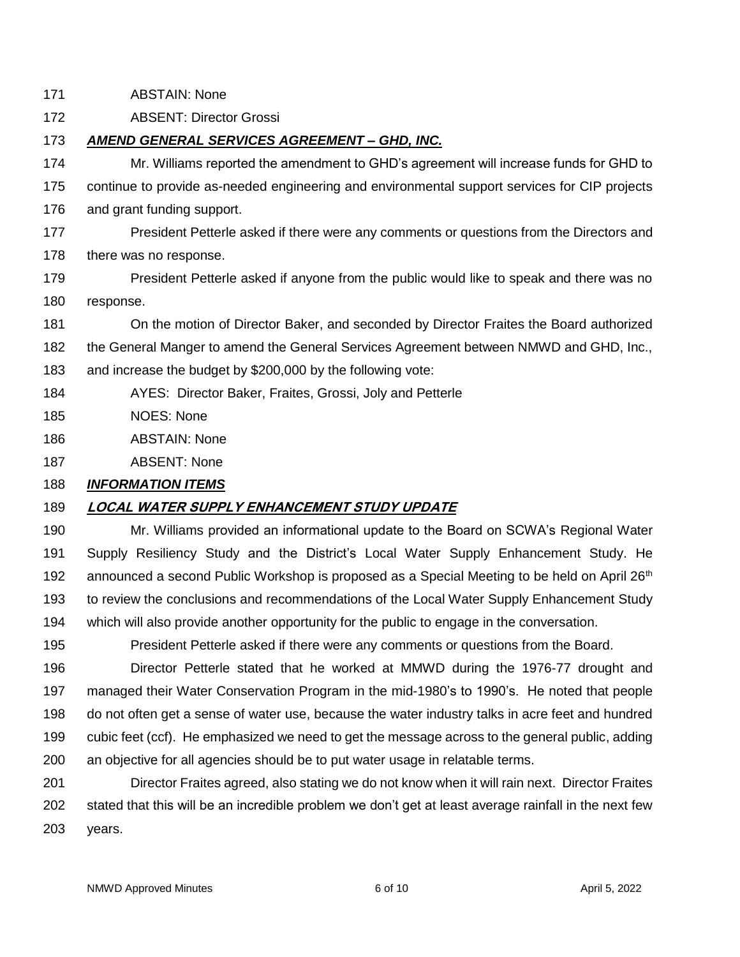ABSTAIN: None

ABSENT: Director Grossi

### *AMEND GENERAL SERVICES AGREEMENT – GHD, INC.*

 Mr. Williams reported the amendment to GHD's agreement will increase funds for GHD to continue to provide as-needed engineering and environmental support services for CIP projects and grant funding support.

- 177 President Petterle asked if there were any comments or questions from the Directors and there was no response.
- President Petterle asked if anyone from the public would like to speak and there was no response.

On the motion of Director Baker, and seconded by Director Fraites the Board authorized

- the General Manger to amend the General Services Agreement between NMWD and GHD, Inc.,
- and increase the budget by \$200,000 by the following vote:
- AYES: Director Baker, Fraites, Grossi, Joly and Petterle
- NOES: None
- ABSTAIN: None
- ABSENT: None

# *INFORMATION ITEMS*

# **LOCAL WATER SUPPLY ENHANCEMENT STUDY UPDATE**

 Mr. Williams provided an informational update to the Board on SCWA's Regional Water Supply Resiliency Study and the District's Local Water Supply Enhancement Study. He 192 announced a second Public Workshop is proposed as a Special Meeting to be held on April 26<sup>th</sup> to review the conclusions and recommendations of the Local Water Supply Enhancement Study which will also provide another opportunity for the public to engage in the conversation.

President Petterle asked if there were any comments or questions from the Board.

 Director Petterle stated that he worked at MMWD during the 1976-77 drought and managed their Water Conservation Program in the mid-1980's to 1990's. He noted that people do not often get a sense of water use, because the water industry talks in acre feet and hundred cubic feet (ccf). He emphasized we need to get the message across to the general public, adding an objective for all agencies should be to put water usage in relatable terms.

 Director Fraites agreed, also stating we do not know when it will rain next. Director Fraites stated that this will be an incredible problem we don't get at least average rainfall in the next few years.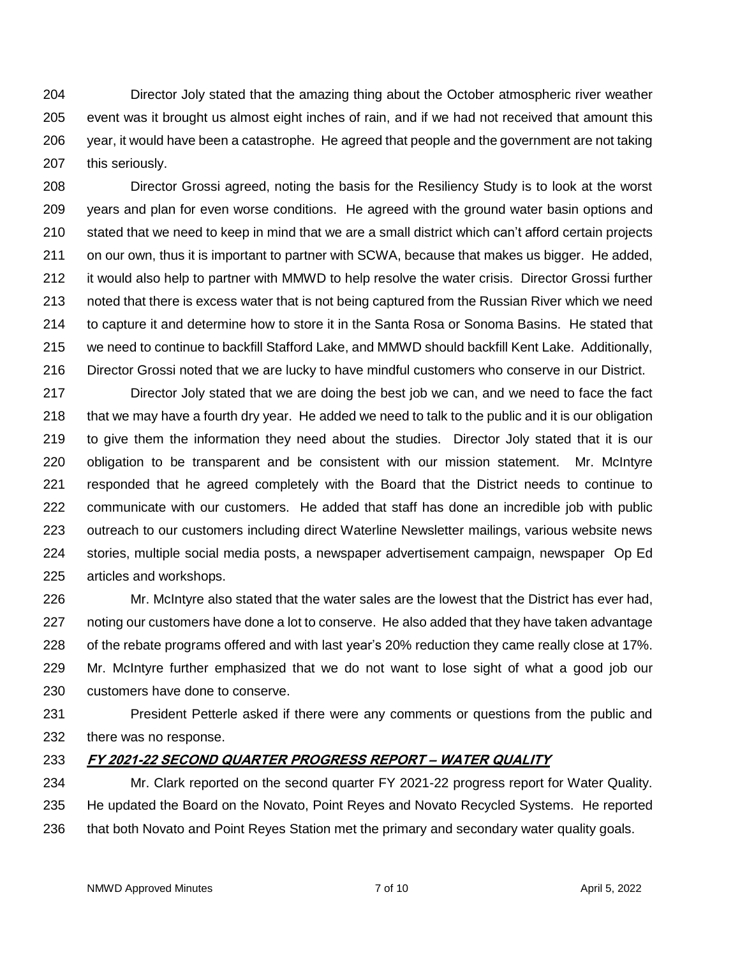Director Joly stated that the amazing thing about the October atmospheric river weather event was it brought us almost eight inches of rain, and if we had not received that amount this year, it would have been a catastrophe. He agreed that people and the government are not taking this seriously.

 Director Grossi agreed, noting the basis for the Resiliency Study is to look at the worst years and plan for even worse conditions. He agreed with the ground water basin options and stated that we need to keep in mind that we are a small district which can't afford certain projects on our own, thus it is important to partner with SCWA, because that makes us bigger. He added, it would also help to partner with MMWD to help resolve the water crisis. Director Grossi further noted that there is excess water that is not being captured from the Russian River which we need to capture it and determine how to store it in the Santa Rosa or Sonoma Basins. He stated that we need to continue to backfill Stafford Lake, and MMWD should backfill Kent Lake. Additionally, Director Grossi noted that we are lucky to have mindful customers who conserve in our District.

 Director Joly stated that we are doing the best job we can, and we need to face the fact that we may have a fourth dry year. He added we need to talk to the public and it is our obligation to give them the information they need about the studies. Director Joly stated that it is our obligation to be transparent and be consistent with our mission statement. Mr. McIntyre responded that he agreed completely with the Board that the District needs to continue to communicate with our customers. He added that staff has done an incredible job with public outreach to our customers including direct Waterline Newsletter mailings, various website news stories, multiple social media posts, a newspaper advertisement campaign, newspaper Op Ed articles and workshops.

 Mr. McIntyre also stated that the water sales are the lowest that the District has ever had, noting our customers have done a lot to conserve. He also added that they have taken advantage of the rebate programs offered and with last year's 20% reduction they came really close at 17%. Mr. McIntyre further emphasized that we do not want to lose sight of what a good job our customers have done to conserve.

 President Petterle asked if there were any comments or questions from the public and there was no response.

# **FY 2021-22 SECOND QUARTER PROGRESS REPORT – WATER QUALITY**

 Mr. Clark reported on the second quarter FY 2021-22 progress report for Water Quality. He updated the Board on the Novato, Point Reyes and Novato Recycled Systems. He reported that both Novato and Point Reyes Station met the primary and secondary water quality goals.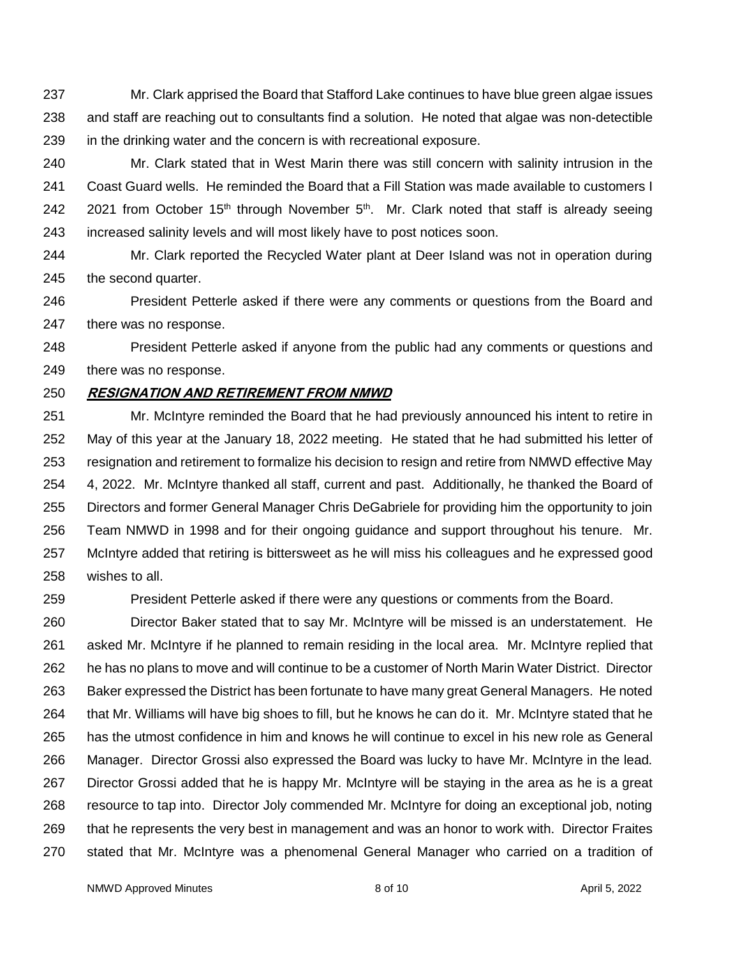Mr. Clark apprised the Board that Stafford Lake continues to have blue green algae issues and staff are reaching out to consultants find a solution. He noted that algae was non-detectible in the drinking water and the concern is with recreational exposure.

 Mr. Clark stated that in West Marin there was still concern with salinity intrusion in the Coast Guard wells. He reminded the Board that a Fill Station was made available to customers I 242 2021 from October 15<sup>th</sup> through November 5<sup>th</sup>. Mr. Clark noted that staff is already seeing increased salinity levels and will most likely have to post notices soon.

 Mr. Clark reported the Recycled Water plant at Deer Island was not in operation during the second quarter.

 President Petterle asked if there were any comments or questions from the Board and there was no response.

 President Petterle asked if anyone from the public had any comments or questions and there was no response.

#### **RESIGNATION AND RETIREMENT FROM NMWD**

 Mr. McIntyre reminded the Board that he had previously announced his intent to retire in May of this year at the January 18, 2022 meeting. He stated that he had submitted his letter of resignation and retirement to formalize his decision to resign and retire from NMWD effective May 4, 2022. Mr. McIntyre thanked all staff, current and past. Additionally, he thanked the Board of Directors and former General Manager Chris DeGabriele for providing him the opportunity to join Team NMWD in 1998 and for their ongoing guidance and support throughout his tenure. Mr. McIntyre added that retiring is bittersweet as he will miss his colleagues and he expressed good wishes to all.

President Petterle asked if there were any questions or comments from the Board.

 Director Baker stated that to say Mr. McIntyre will be missed is an understatement. He asked Mr. McIntyre if he planned to remain residing in the local area. Mr. McIntyre replied that he has no plans to move and will continue to be a customer of North Marin Water District. Director Baker expressed the District has been fortunate to have many great General Managers. He noted that Mr. Williams will have big shoes to fill, but he knows he can do it. Mr. McIntyre stated that he has the utmost confidence in him and knows he will continue to excel in his new role as General Manager. Director Grossi also expressed the Board was lucky to have Mr. McIntyre in the lead. Director Grossi added that he is happy Mr. McIntyre will be staying in the area as he is a great resource to tap into. Director Joly commended Mr. McIntyre for doing an exceptional job, noting that he represents the very best in management and was an honor to work with. Director Fraites stated that Mr. McIntyre was a phenomenal General Manager who carried on a tradition of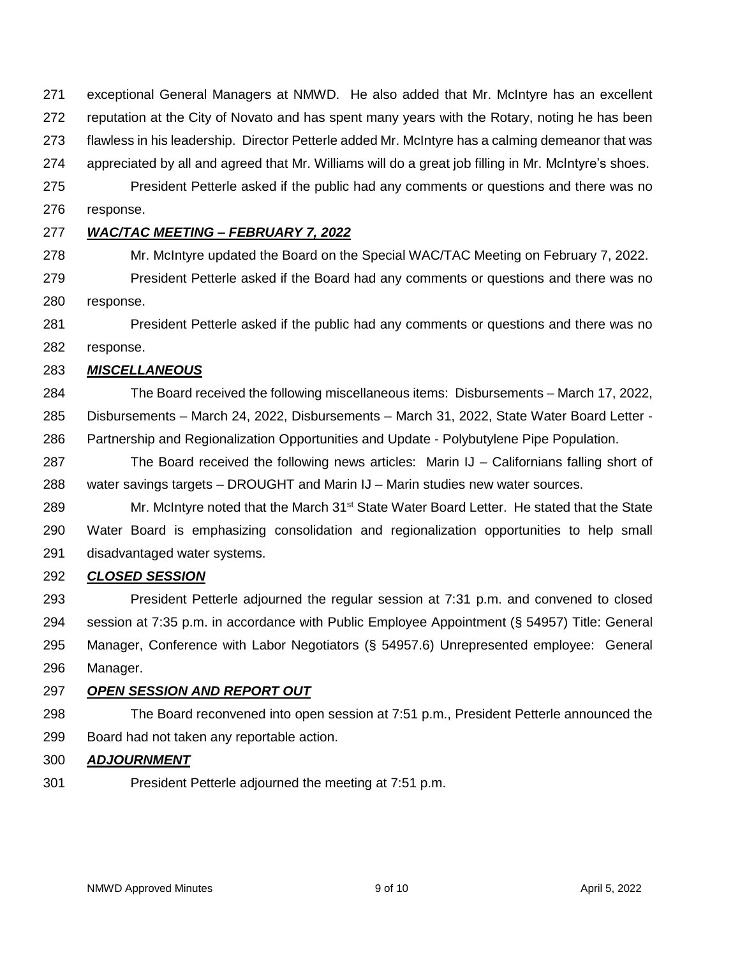exceptional General Managers at NMWD. He also added that Mr. McIntyre has an excellent reputation at the City of Novato and has spent many years with the Rotary, noting he has been flawless in his leadership. Director Petterle added Mr. McIntyre has a calming demeanor that was appreciated by all and agreed that Mr. Williams will do a great job filling in Mr. McIntyre's shoes.

 President Petterle asked if the public had any comments or questions and there was no response.

### *WAC/TAC MEETING – FEBRUARY 7, 2022*

Mr. McIntyre updated the Board on the Special WAC/TAC Meeting on February 7, 2022.

 President Petterle asked if the Board had any comments or questions and there was no response.

 President Petterle asked if the public had any comments or questions and there was no response.

### *MISCELLANEOUS*

 The Board received the following miscellaneous items: Disbursements – March 17, 2022, Disbursements – March 24, 2022, Disbursements – March 31, 2022, State Water Board Letter - Partnership and Regionalization Opportunities and Update - Polybutylene Pipe Population.

 The Board received the following news articles: Marin IJ – Californians falling short of water savings targets – DROUGHT and Marin IJ – Marin studies new water sources.

289 Mr. McIntyre noted that the March  $31<sup>st</sup>$  State Water Board Letter. He stated that the State Water Board is emphasizing consolidation and regionalization opportunities to help small disadvantaged water systems.

### *CLOSED SESSION*

 President Petterle adjourned the regular session at 7:31 p.m. and convened to closed session at 7:35 p.m. in accordance with Public Employee Appointment (§ 54957) Title: General Manager, Conference with Labor Negotiators (§ 54957.6) Unrepresented employee: General Manager.

### *OPEN SESSION AND REPORT OUT*

 The Board reconvened into open session at 7:51 p.m., President Petterle announced the Board had not taken any reportable action.

### *ADJOURNMENT*

President Petterle adjourned the meeting at 7:51 p.m.